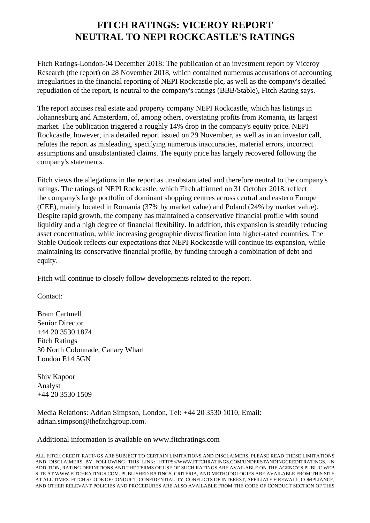## **FITCH RATINGS: VICEROY REPORT NEUTRAL TO NEPI ROCKCASTLE'S RATINGS**

 Fitch Ratings-London-04 December 2018: The publication of an investment report by Viceroy Research (the report) on 28 November 2018, which contained numerous accusations of accounting irregularities in the financial reporting of NEPI Rockcastle plc, as well as the company's detailed repudiation of the report, is neutral to the company's ratings (BBB/Stable), Fitch Rating says.

 The report accuses real estate and property company NEPI Rockcastle, which has listings in Johannesburg and Amsterdam, of, among others, overstating profits from Romania, its largest market. The publication triggered a roughly 14% drop in the company's equity price. NEPI Rockcastle, however, in a detailed report issued on 29 November, as well as in an investor call, refutes the report as misleading, specifying numerous inaccuracies, material errors, incorrect assumptions and unsubstantiated claims. The equity price has largely recovered following the company's statements.

 Fitch views the allegations in the report as unsubstantiated and therefore neutral to the company's ratings. The ratings of NEPI Rockcastle, which Fitch affirmed on 31 October 2018, reflect the company's large portfolio of dominant shopping centres across central and eastern Europe (CEE), mainly located in Romania (37% by market value) and Poland (24% by market value). Despite rapid growth, the company has maintained a conservative financial profile with sound liquidity and a high degree of financial flexibility. In addition, this expansion is steadily reducing asset concentration, while increasing geographic diversification into higher-rated countries. The Stable Outlook reflects our expectations that NEPI Rockcastle will continue its expansion, while maintaining its conservative financial profile, by funding through a combination of debt and equity.

Fitch will continue to closely follow developments related to the report.

Contact:

 Bram Cartmell Senior Director +44 20 3530 1874 Fitch Ratings 30 North Colonnade, Canary Wharf London E14 5GN

 Shiv Kapoor Analyst +44 20 3530 1509

 Media Relations: Adrian Simpson, London, Tel: +44 20 3530 1010, Email: adrian.simpson@thefitchgroup.com.

Additional information is available on www.fitchratings.com